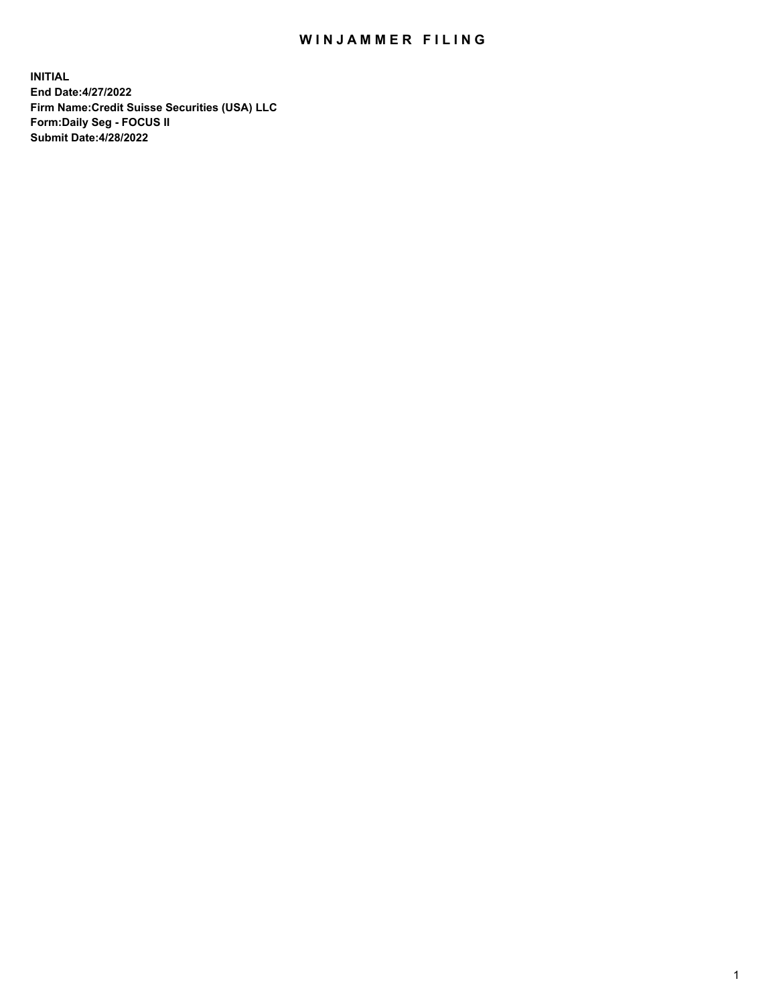## WIN JAMMER FILING

**INITIAL End Date:4/27/2022 Firm Name:Credit Suisse Securities (USA) LLC Form:Daily Seg - FOCUS II Submit Date:4/28/2022**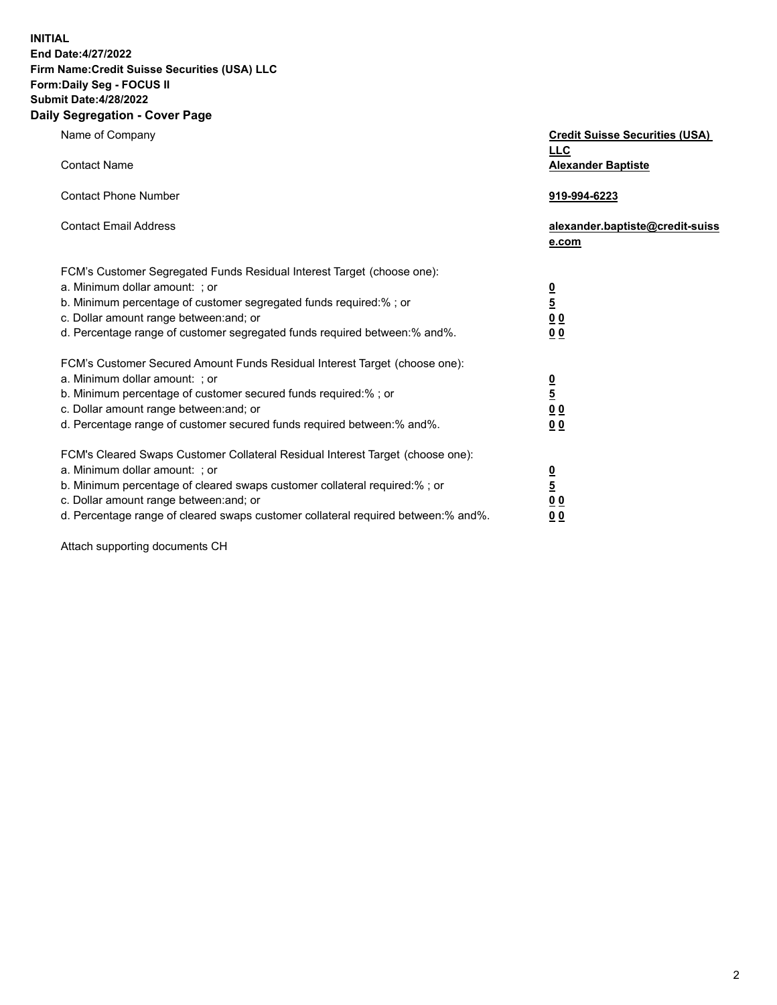**INITIAL End Date:4/27/2022** 

## **Firm Name:Credit Suisse Securities (USA) LLC Form:Daily Seg - FOCUS II Submit Date:4/28/2022**

## **Daily Segregation - Cover Page**

| Name of Company                                                                                                                                                                                                                                                                                                                | <b>Credit Suisse Securities (USA)</b><br><b>LLC</b>                   |
|--------------------------------------------------------------------------------------------------------------------------------------------------------------------------------------------------------------------------------------------------------------------------------------------------------------------------------|-----------------------------------------------------------------------|
| <b>Contact Name</b>                                                                                                                                                                                                                                                                                                            | <b>Alexander Baptiste</b>                                             |
| <b>Contact Phone Number</b>                                                                                                                                                                                                                                                                                                    | 919-994-6223                                                          |
| <b>Contact Email Address</b>                                                                                                                                                                                                                                                                                                   | alexander.baptiste@credit-suiss<br>e.com                              |
| FCM's Customer Segregated Funds Residual Interest Target (choose one):<br>a. Minimum dollar amount: ; or<br>b. Minimum percentage of customer segregated funds required:% ; or<br>c. Dollar amount range between: and; or<br>d. Percentage range of customer segregated funds required between:% and%.                         | $\frac{\frac{0}{5}}{\frac{0}{0}}$<br>0 <sub>0</sub>                   |
| FCM's Customer Secured Amount Funds Residual Interest Target (choose one):<br>a. Minimum dollar amount: ; or<br>b. Minimum percentage of customer secured funds required:%; or<br>c. Dollar amount range between: and; or<br>d. Percentage range of customer secured funds required between:% and%.                            | $\frac{0}{5}$<br>$\underline{0}$<br>$\underline{0}$<br>0 <sub>0</sub> |
| FCM's Cleared Swaps Customer Collateral Residual Interest Target (choose one):<br>a. Minimum dollar amount: ; or<br>b. Minimum percentage of cleared swaps customer collateral required:% ; or<br>c. Dollar amount range between: and; or<br>d. Percentage range of cleared swaps customer collateral required between:% and%. | $\frac{0}{5}$<br>0 <sub>0</sub><br>0 <sub>0</sub>                     |

Attach supporting documents CH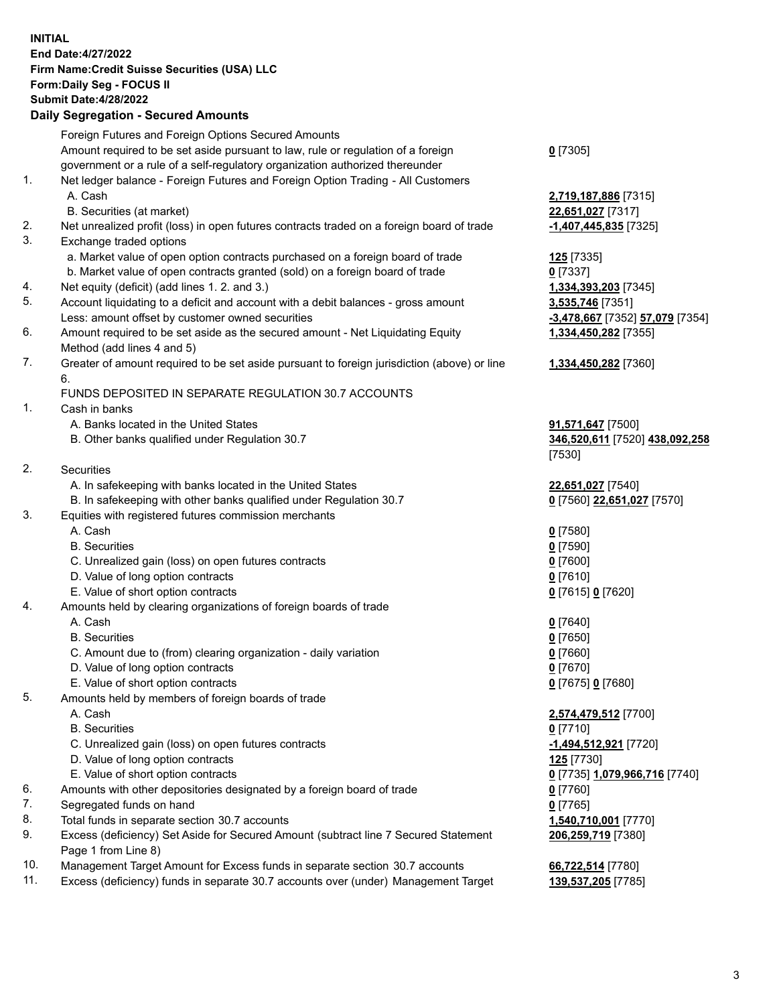**INITIAL End Date:4/27/2022 Firm Name:Credit Suisse Securities (USA) LLC Form:Daily Seg - FOCUS II Submit Date:4/28/2022**

## **Daily Segregation - Secured Amounts**

|     | Foreign Futures and Foreign Options Secured Amounts                                         |                                                 |
|-----|---------------------------------------------------------------------------------------------|-------------------------------------------------|
|     | Amount required to be set aside pursuant to law, rule or regulation of a foreign            | $0$ [7305]                                      |
|     | government or a rule of a self-regulatory organization authorized thereunder                |                                                 |
| 1.  | Net ledger balance - Foreign Futures and Foreign Option Trading - All Customers             |                                                 |
|     | A. Cash                                                                                     | 2,719,187,886 [7315]                            |
|     | B. Securities (at market)                                                                   | 22,651,027 [7317]                               |
| 2.  | Net unrealized profit (loss) in open futures contracts traded on a foreign board of trade   | -1,407,445,835 [7325]                           |
| 3.  | Exchange traded options                                                                     |                                                 |
|     | a. Market value of open option contracts purchased on a foreign board of trade              | 125 [7335]                                      |
|     | b. Market value of open contracts granted (sold) on a foreign board of trade                | $0$ [7337]                                      |
| 4.  | Net equity (deficit) (add lines 1. 2. and 3.)                                               | 1,334,393,203 [7345]                            |
| 5.  | Account liquidating to a deficit and account with a debit balances - gross amount           | 3,535,746 [7351]                                |
|     | Less: amount offset by customer owned securities                                            | -3,478,667 [7352] 57,079 [7354]                 |
| 6.  | Amount required to be set aside as the secured amount - Net Liquidating Equity              | 1,334,450,282 [7355]                            |
|     | Method (add lines 4 and 5)                                                                  |                                                 |
| 7.  | Greater of amount required to be set aside pursuant to foreign jurisdiction (above) or line | 1,334,450,282 [7360]                            |
|     | 6.                                                                                          |                                                 |
|     | FUNDS DEPOSITED IN SEPARATE REGULATION 30.7 ACCOUNTS                                        |                                                 |
| 1.  | Cash in banks                                                                               |                                                 |
|     | A. Banks located in the United States                                                       | 91,571,647 [7500]                               |
|     | B. Other banks qualified under Regulation 30.7                                              | 346,520,611 [7520] 438,092,258                  |
|     |                                                                                             | [7530]                                          |
| 2.  | Securities                                                                                  |                                                 |
|     | A. In safekeeping with banks located in the United States                                   |                                                 |
|     | B. In safekeeping with other banks qualified under Regulation 30.7                          | 22,651,027 [7540]<br>0 [7560] 22,651,027 [7570] |
| 3.  | Equities with registered futures commission merchants                                       |                                                 |
|     | A. Cash                                                                                     | $0$ [7580]                                      |
|     | <b>B.</b> Securities                                                                        |                                                 |
|     |                                                                                             | $0$ [7590]                                      |
|     | C. Unrealized gain (loss) on open futures contracts                                         | $0$ [7600]                                      |
|     | D. Value of long option contracts                                                           | $0$ [7610]                                      |
|     | E. Value of short option contracts                                                          | 0 [7615] 0 [7620]                               |
| 4.  | Amounts held by clearing organizations of foreign boards of trade<br>A. Cash                |                                                 |
|     | <b>B.</b> Securities                                                                        | $0$ [7640]                                      |
|     | C. Amount due to (from) clearing organization - daily variation                             | $0$ [7650]                                      |
|     |                                                                                             | $0$ [7660]                                      |
|     | D. Value of long option contracts                                                           | $0$ [7670]                                      |
|     | E. Value of short option contracts                                                          | 0 [7675] 0 [7680]                               |
| 5.  | Amounts held by members of foreign boards of trade                                          |                                                 |
|     | A. Cash                                                                                     | 2,574,479,512 [7700]                            |
|     | <b>B.</b> Securities                                                                        | $0$ [7710]                                      |
|     | C. Unrealized gain (loss) on open futures contracts                                         | -1,494,512,921 [7720]                           |
|     | D. Value of long option contracts                                                           | 125 <sub>[7730]</sub>                           |
|     | E. Value of short option contracts                                                          | 0 [7735] 1,079,966,716 [7740]                   |
| 6.  | Amounts with other depositories designated by a foreign board of trade                      | $0$ [7760]                                      |
| 7.  | Segregated funds on hand                                                                    | $0$ [7765]                                      |
| 8.  | Total funds in separate section 30.7 accounts                                               | 1,540,710,001 [7770]                            |
| 9.  | Excess (deficiency) Set Aside for Secured Amount (subtract line 7 Secured Statement         | 206,259,719 [7380]                              |
|     | Page 1 from Line 8)                                                                         |                                                 |
| 10. | Management Target Amount for Excess funds in separate section 30.7 accounts                 | 66,722,514 [7780]                               |

11. Excess (deficiency) funds in separate 30.7 accounts over (under) Management Target **139,537,205** [7785]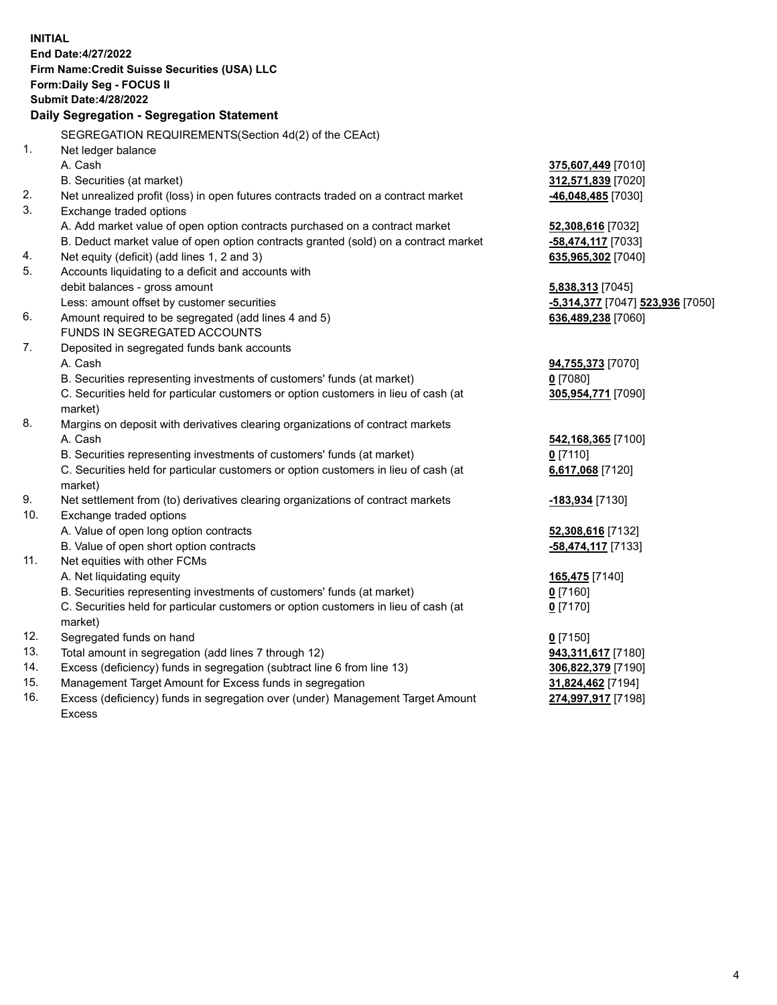|     | <b>INITIAL</b>                                                                      |                                  |
|-----|-------------------------------------------------------------------------------------|----------------------------------|
|     | End Date: 4/27/2022                                                                 |                                  |
|     | Firm Name: Credit Suisse Securities (USA) LLC                                       |                                  |
|     | Form: Daily Seg - FOCUS II                                                          |                                  |
|     | <b>Submit Date: 4/28/2022</b>                                                       |                                  |
|     | Daily Segregation - Segregation Statement                                           |                                  |
|     |                                                                                     |                                  |
|     | SEGREGATION REQUIREMENTS(Section 4d(2) of the CEAct)                                |                                  |
| 1.  | Net ledger balance                                                                  |                                  |
|     | A. Cash                                                                             | 375,607,449 [7010]               |
|     | B. Securities (at market)                                                           | 312,571,839 [7020]               |
| 2.  | Net unrealized profit (loss) in open futures contracts traded on a contract market  | -46,048,485 [7030]               |
| 3.  | Exchange traded options                                                             |                                  |
|     | A. Add market value of open option contracts purchased on a contract market         | 52,308,616 [7032]                |
|     | B. Deduct market value of open option contracts granted (sold) on a contract market | -58,474,117 [7033]               |
| 4.  | Net equity (deficit) (add lines 1, 2 and 3)                                         | 635,965,302 [7040]               |
| 5.  | Accounts liquidating to a deficit and accounts with                                 |                                  |
|     | debit balances - gross amount                                                       | 5,838,313 [7045]                 |
|     | Less: amount offset by customer securities                                          | -5,314,377 [7047] 523,936 [7050] |
| 6.  | Amount required to be segregated (add lines 4 and 5)                                | 636,489,238 [7060]               |
|     | FUNDS IN SEGREGATED ACCOUNTS                                                        |                                  |
| 7.  | Deposited in segregated funds bank accounts                                         |                                  |
|     | A. Cash                                                                             | 94,755,373 [7070]                |
|     | B. Securities representing investments of customers' funds (at market)              | $0$ [7080]                       |
|     | C. Securities held for particular customers or option customers in lieu of cash (at | 305,954,771 [7090]               |
|     | market)                                                                             |                                  |
| 8.  | Margins on deposit with derivatives clearing organizations of contract markets      |                                  |
|     | A. Cash                                                                             | 542,168,365 [7100]               |
|     | B. Securities representing investments of customers' funds (at market)              | $0$ [7110]                       |
|     | C. Securities held for particular customers or option customers in lieu of cash (at | 6,617,068 [7120]                 |
|     | market)                                                                             |                                  |
| 9.  | Net settlement from (to) derivatives clearing organizations of contract markets     | -183,934 [7130]                  |
| 10. | Exchange traded options                                                             |                                  |
|     | A. Value of open long option contracts                                              | 52,308,616 [7132]                |
|     | B. Value of open short option contracts                                             | -58,474,117 [7133]               |
| 11. | Net equities with other FCMs                                                        |                                  |
|     | A. Net liquidating equity                                                           | 165,475 [7140]                   |
|     | B. Securities representing investments of customers' funds (at market)              | $0$ [7160]                       |
|     | C. Securities held for particular customers or option customers in lieu of cash (at | $0$ [7170]                       |
|     | market)                                                                             |                                  |
| 12. | Segregated funds on hand                                                            | $0$ [7150]                       |
| 13. | Total amount in segregation (add lines 7 through 12)                                | 943,311,617 [7180]               |
| 14. | Excess (deficiency) funds in segregation (subtract line 6 from line 13)             | 306,822,379 [7190]               |
| 15. | Management Target Amount for Excess funds in segregation                            | 31,824,462 [7194]                |
| 16. | Excess (deficiency) funds in segregation over (under) Management Target Amount      | 274,997,917 [7198]               |
|     | <b>Excess</b>                                                                       |                                  |